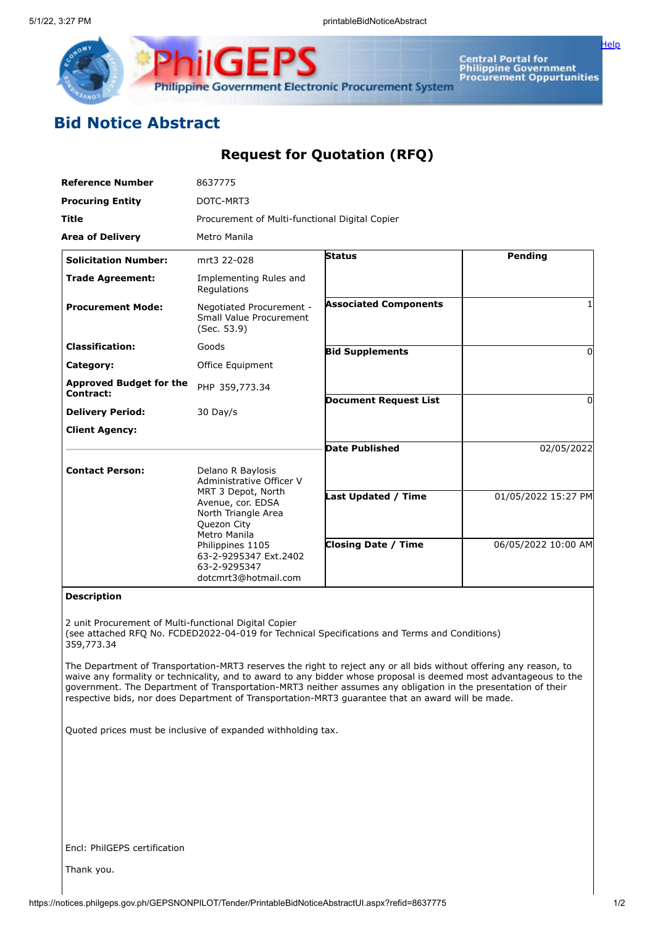

Central Portal for<br>Philippine Government<br>Procurement Oppurtunities

[Help](javascript:void(window.open()

## **Bid Notice Abstract**

## **Request for Quotation (RFQ)**

| <b>Reference Number</b>                     | 8637775                                                                           |                              |                     |  |  |
|---------------------------------------------|-----------------------------------------------------------------------------------|------------------------------|---------------------|--|--|
| <b>Procuring Entity</b>                     | DOTC-MRT3                                                                         |                              |                     |  |  |
| <b>Title</b>                                | Procurement of Multi-functional Digital Copier                                    |                              |                     |  |  |
| <b>Area of Delivery</b>                     | Metro Manila                                                                      |                              |                     |  |  |
| <b>Solicitation Number:</b>                 | mrt3 22-028                                                                       | <b>Status</b>                | <b>Pending</b>      |  |  |
| <b>Trade Agreement:</b>                     | Implementing Rules and<br>Regulations                                             |                              |                     |  |  |
| <b>Procurement Mode:</b>                    | Negotiated Procurement -<br>Small Value Procurement<br>(Sec. 53.9)                | <b>Associated Components</b> |                     |  |  |
| <b>Classification:</b>                      | Goods                                                                             | <b>Bid Supplements</b>       | 0                   |  |  |
| Category:                                   | Office Equipment                                                                  |                              |                     |  |  |
| <b>Approved Budget for the</b><br>Contract: | PHP 359,773.34                                                                    |                              |                     |  |  |
| <b>Delivery Period:</b>                     | 30 Day/s                                                                          | <b>Document Request List</b> | $\Omega$            |  |  |
| <b>Client Agency:</b>                       |                                                                                   |                              |                     |  |  |
|                                             |                                                                                   | <b>Date Published</b>        | 02/05/2022          |  |  |
| <b>Contact Person:</b>                      | Delano R Baylosis<br>Administrative Officer V<br>MRT 3 Depot, North               |                              |                     |  |  |
|                                             | Avenue, cor. EDSA<br>North Triangle Area<br>Quezon City<br>Metro Manila           | <b>Last Updated / Time</b>   | 01/05/2022 15:27 PM |  |  |
|                                             | Philippines 1105<br>63-2-9295347 Ext.2402<br>63-2-9295347<br>dotcmrt3@hotmail.com | <b>Closing Date / Time</b>   | 06/05/2022 10:00 AM |  |  |

## **Description**

2 unit Procurement of Multi-functional Digital Copier (see attached RFQ No. FCDED2022-04-019 for Technical Specifications and Terms and Conditions) 359,773.34

The Department of Transportation-MRT3 reserves the right to reject any or all bids without offering any reason, to waive any formality or technicality, and to award to any bidder whose proposal is deemed most advantageous to the government. The Department of Transportation-MRT3 neither assumes any obligation in the presentation of their respective bids, nor does Department of Transportation-MRT3 guarantee that an award will be made.

Quoted prices must be inclusive of expanded withholding tax.

Encl: PhilGEPS certification

Thank you.